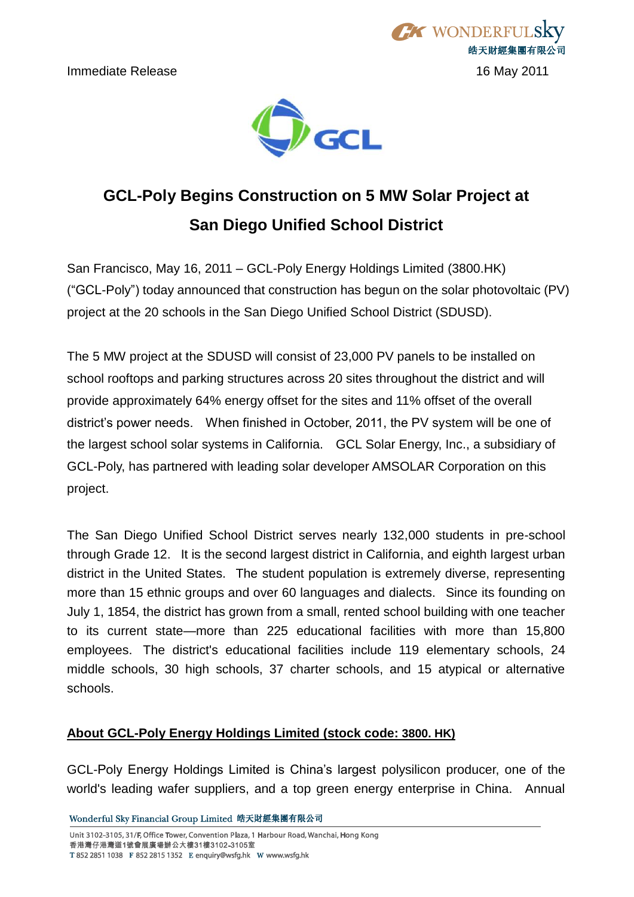



# **GCL-Poly Begins Construction on 5 MW Solar Project at San Diego Unified School District**

San Francisco, May 16, 2011 – GCL-Poly Energy Holdings Limited (3800.HK) (―GCL-Poly‖) today announced that construction has begun on the solar photovoltaic (PV) project at the 20 schools in the San Diego Unified School District (SDUSD).

The 5 MW project at the SDUSD will consist of 23,000 PV panels to be installed on school rooftops and parking structures across 20 sites throughout the district and will provide approximately 64% energy offset for the sites and 11% offset of the overall district's power needs. When finished in October, 2011, the PV system will be one of the largest school solar systems in California. GCL Solar Energy, Inc., a subsidiary of GCL-Poly, has partnered with leading solar developer AMSOLAR Corporation on this project.

The San Diego Unified School District serves nearly 132,000 students in pre-school through Grade 12. It is the second largest district in California, and eighth largest urban district in the United States. The student population is extremely diverse, representing more than 15 ethnic groups and over 60 languages and dialects. Since its founding on July 1, 1854, the district has grown from a small, rented school building with one teacher to its current state—more than 225 educational facilities with more than 15,800 employees. The district's educational facilities include 119 elementary schools, 24 middle schools, 30 high schools, 37 charter schools, and 15 atypical or alternative schools.

## **About GCL-Poly Energy Holdings Limited (stock code: 3800. HK)**

GCL-Poly Energy Holdings Limited is China's largest polysilicon producer, one of the world's leading wafer suppliers, and a top green energy enterprise in China. Annual

Wonderful Sky Financial Group Limited 皓天財經集團有限公司